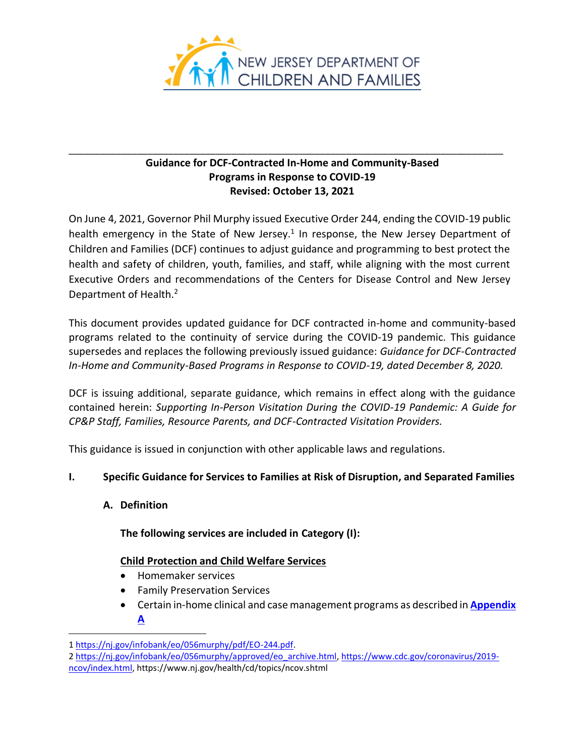

# **Guidance for DCF-Contracted In-Home and Community-Based Programs in Response to COVID-19 Revised: October 13, 2021**

\_\_\_\_\_\_\_\_\_\_\_\_\_\_\_\_\_\_\_\_\_\_\_\_\_\_\_\_\_\_\_\_\_\_\_\_\_\_\_\_\_\_\_\_\_\_\_\_\_\_\_\_\_\_\_\_\_\_\_\_\_\_\_\_\_\_\_\_\_\_\_\_\_\_\_\_\_\_\_\_\_\_\_

On June 4, 2021, Governor Phil Murphy issued Executive Order 244, ending the COVID-19 public health emergency in the State of New Jersey.<sup>1</sup> In response, the New Jersey Department of Children and Families (DCF) continues to adjust guidance and programming to best protect the health and safety of children, youth, families, and staff, while aligning with the most current Executive Orders and recommendations of the Centers for Disease Control and New Jersey Department of Health.<sup>2</sup>

This document provides updated guidance for DCF contracted in-home and community-based programs related to the continuity of service during the COVID-19 pandemic. This guidance supersedes and replaces the following previously issued guidance: *Guidance for DCF-Contracted In-Home and Community-Based Programs in Response to COVID-19, dated December 8, 2020.*

DCF is issuing additional, separate guidance, which remains in effect along with the guidance contained herein: *Supporting In-Person Visitation During the COVID-19 Pandemic: A Guide for CP&P Staff, Families, Resource Parents, and DCF-Contracted Visitation Providers.*

This guidance is issued in conjunction with other applicable laws and regulations.

# **I. Specific Guidance for Services to Families at Risk of Disruption, and Separated Families**

**A. Definition**

**The following services are included in Category (I):**

# **Child Protection and Child Welfare Services**

- Homemaker services
- Family Preservation Services
- Certain in-home clinical and case management programs as described in **[Appendix](#page-7-0) [A](#page-7-0)**

<sup>1</sup> [https://nj.gov/infobank/eo/056murphy/pdf/EO-244.pdf.](https://nj.gov/infobank/eo/056murphy/pdf/EO-244.pdf)

<sup>2</sup> [https://nj.gov/infobank/eo/056murphy/approved/eo\\_archive.html,](https://nj.gov/infobank/eo/056murphy/approved/eo_archive.html) [https://www.cdc.gov/coronavirus/2019-](https://www.cdc.gov/coronavirus/2019-ncov/index.html)

[ncov/index.html,](https://www.cdc.gov/coronavirus/2019-ncov/index.html) https://www.nj.gov/health/cd/topics/ncov.shtml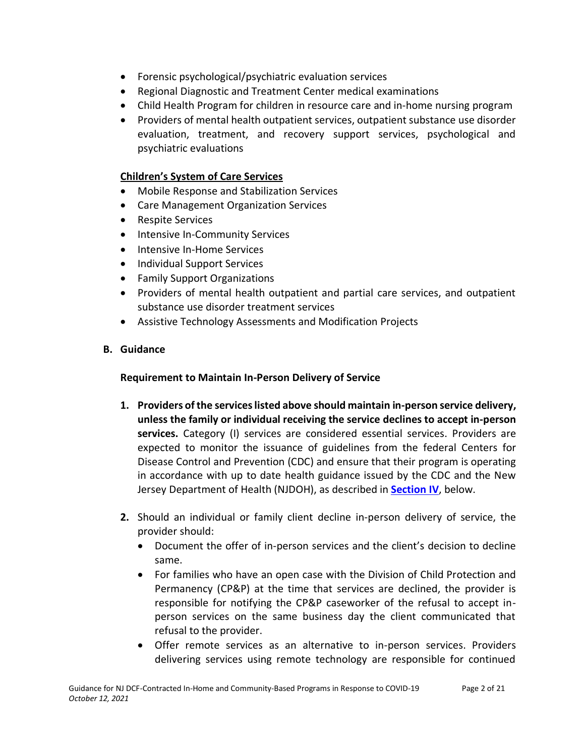- Forensic psychological/psychiatric evaluation services
- Regional Diagnostic and Treatment Center medical examinations
- Child Health Program for children in resource care and in-home nursing program
- Providers of mental health outpatient services, outpatient substance use disorder evaluation, treatment, and recovery support services, psychological and psychiatric evaluations

# **Children's System of Care Services**

- Mobile Response and Stabilization Services
- Care Management Organization Services
- Respite Services
- Intensive In-Community Services
- Intensive In-Home Services
- Individual Support Services
- Family Support Organizations
- Providers of mental health outpatient and partial care services, and outpatient substance use disorder treatment services
- Assistive Technology Assessments and Modification Projects

# **B. Guidance**

# **Requirement to Maintain In-Person Delivery of Service**

- **1. Providers of the services listed above should maintain in-person service delivery, unless the family or individual receiving the service declines to accept in-person services.** Category (I) services are considered essential services. Providers are expected to monitor the issuance of guidelines from the federal Centers for Disease Control and Prevention (CDC) and ensure that their program is operating in accordance with up to date health guidance issued by the CDC and the New Jersey Department of Health (NJDOH), as described in **[Section IV](#page-3-0)**, below.
- **2.** Should an individual or family client decline in-person delivery of service, the provider should:
	- Document the offer of in-person services and the client's decision to decline same.
	- For families who have an open case with the Division of Child Protection and Permanency (CP&P) at the time that services are declined, the provider is responsible for notifying the CP&P caseworker of the refusal to accept inperson services on the same business day the client communicated that refusal to the provider.
	- Offer remote services as an alternative to in-person services. Providers delivering services using remote technology are responsible for continued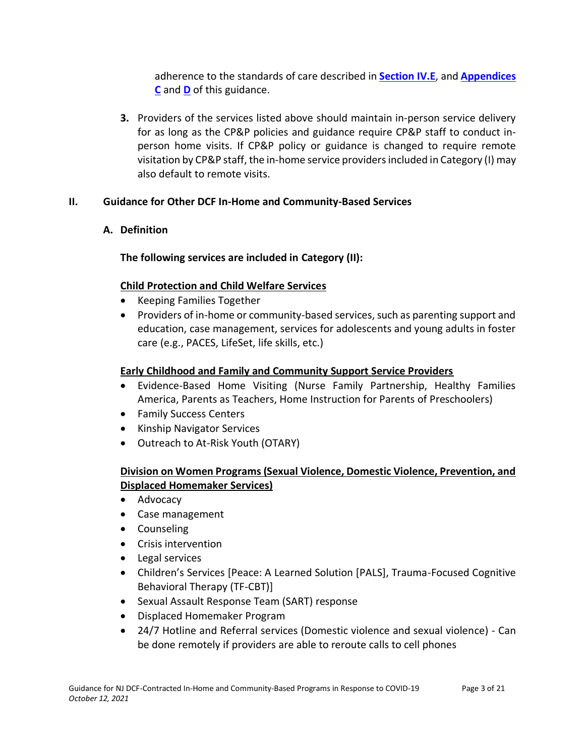adherence to the standards of care described in **[Section IV.E](#page-5-0)**, and **Appendices [C](#page-13-0)** and **[D](#page-17-0)** of this guidance.

**3.** Providers of the services listed above should maintain in-person service delivery for as long as the CP&P policies and guidance require CP&P staff to conduct inperson home visits. If CP&P policy or guidance is changed to require remote visitation by CP&P staff, the in-home service providers included in Category (I) may also default to remote visits.

# **II. Guidance for Other DCF In-Home and Community-Based Services**

# **A. Definition**

**The following services are included in Category (II):**

# **Child Protection and Child Welfare Services**

- Keeping Families Together
- Providers of in-home or community-based services, such as parenting support and education, case management, services for adolescents and young adults in foster care (e.g., PACES, LifeSet, life skills, etc.)

# **Early Childhood and Family and Community Support Service Providers**

- Evidence-Based Home Visiting (Nurse Family Partnership, Healthy Families America, Parents as Teachers, Home Instruction for Parents of Preschoolers)
- Family Success Centers
- Kinship Navigator Services
- Outreach to At-Risk Youth (OTARY)

# **Division on Women Programs (Sexual Violence, Domestic Violence, Prevention, and Displaced Homemaker Services)**

- Advocacy
- Case management
- Counseling
- Crisis intervention
- Legal services
- Children's Services [Peace: A Learned Solution [PALS], Trauma-Focused Cognitive Behavioral Therapy (TF-CBT)]
- Sexual Assault Response Team (SART) response
- Displaced Homemaker Program
- 24/7 Hotline and Referral services (Domestic violence and sexual violence) Can be done remotely if providers are able to reroute calls to cell phones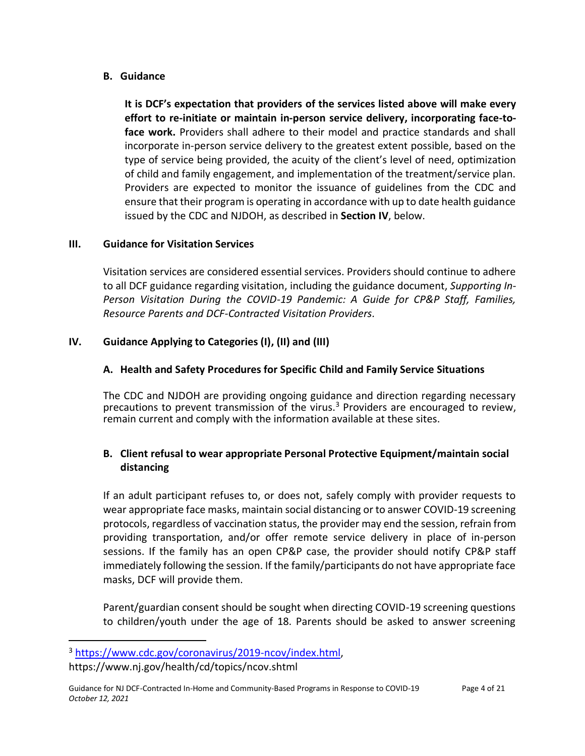# **B. Guidance**

**It is DCF's expectation that providers of the services listed above will make every effort to re-initiate or maintain in-person service delivery, incorporating face-toface work.** Providers shall adhere to their model and practice standards and shall incorporate in-person service delivery to the greatest extent possible, based on the type of service being provided, the acuity of the client's level of need, optimization of child and family engagement, and implementation of the treatment/service plan. Providers are expected to monitor the issuance of guidelines from the CDC and ensure that their program is operating in accordance with up to date health guidance issued by the CDC and NJDOH, as described in **Section IV**, below.

### **III. Guidance for Visitation Services**

Visitation services are considered essential services. Providers should continue to adhere to all DCF guidance regarding visitation, including the guidance document, *Supporting In-Person Visitation During the COVID-19 Pandemic: A Guide for CP&P Staff, Families, Resource Parents and DCF-Contracted Visitation Providers.*

## <span id="page-3-0"></span>**IV. Guidance Applying to Categories (I), (II) and (III)**

## **A. Health and Safety Procedures for Specific Child and Family Service Situations**

The CDC and NJDOH are providing ongoing guidance and direction regarding necessary precautions to prevent transmission of the virus.<sup>3</sup> Providers are encouraged to review, remain current and comply with the information available at these sites.

# **B. Client refusal to wear appropriate Personal Protective Equipment/maintain social distancing**

If an adult participant refuses to, or does not, safely comply with provider requests to wear appropriate face masks, maintain social distancing or to answer COVID-19 screening protocols, regardless of vaccination status, the provider may end the session, refrain from providing transportation, and/or offer remote service delivery in place of in-person sessions. If the family has an open CP&P case, the provider should notify CP&P staff immediately following the session. If the family/participants do not have appropriate face masks, DCF will provide them.

Parent/guardian consent should be sought when directing COVID-19 screening questions to children/youth under the age of 18. Parents should be asked to answer screening

<sup>3</sup> [https://www.cdc.gov/coronavirus/2019-ncov/index.html,](https://www.cdc.gov/coronavirus/2019-ncov/index.html)

https://www.nj.gov/health/cd/topics/ncov.shtml

Guidance for NJ DCF-Contracted In-Home and Community-Based Programs in Response to COVID-19 Page 4 of 21 *October 12, 2021*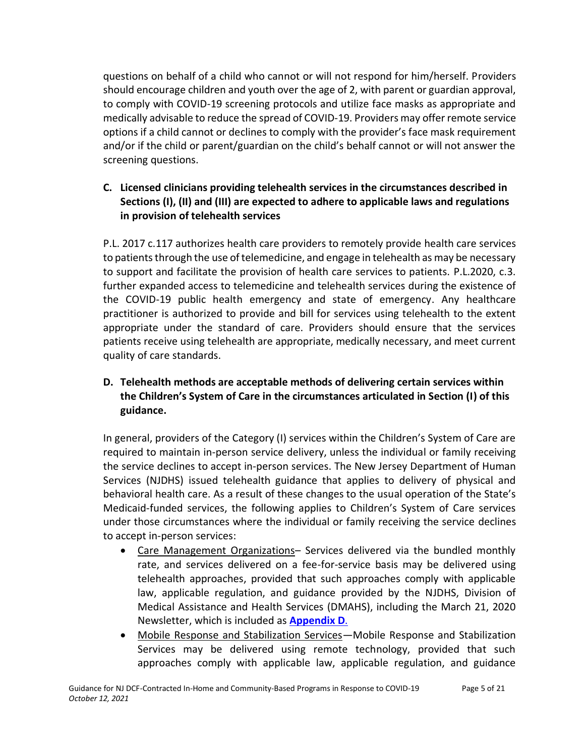questions on behalf of a child who cannot or will not respond for him/herself. Providers should encourage children and youth over the age of 2, with parent or guardian approval, to comply with COVID-19 screening protocols and utilize face masks as appropriate and medically advisable to reduce the spread of COVID-19. Providers may offer remote service options if a child cannot or declines to comply with the provider's face mask requirement and/or if the child or parent/guardian on the child's behalf cannot or will not answer the screening questions.

# **C. Licensed clinicians providing telehealth services in the circumstances described in Sections (I), (II) and (III) are expected to adhere to applicable laws and regulations in provision of telehealth services**

P.L. 2017 c.117 authorizes health care providers to remotely provide health care services to patients through the use of telemedicine, and engage in telehealth as may be necessary to support and facilitate the provision of health care services to patients. P.L.2020, c.3. further expanded access to telemedicine and telehealth services during the existence of the COVID-19 public health emergency and state of emergency. Any healthcare practitioner is authorized to provide and bill for services using telehealth to the extent appropriate under the standard of care. Providers should ensure that the services patients receive using telehealth are appropriate, medically necessary, and meet current quality of care standards.

# **D. Telehealth methods are acceptable methods of delivering certain services within the Children's System of Care in the circumstances articulated in Section (I) of this guidance.**

In general, providers of the Category (I) services within the Children's System of Care are required to maintain in-person service delivery, unless the individual or family receiving the service declines to accept in-person services. The New Jersey Department of Human Services (NJDHS) issued telehealth guidance that applies to delivery of physical and behavioral health care. As a result of these changes to the usual operation of the State's Medicaid-funded services, the following applies to Children's System of Care services under those circumstances where the individual or family receiving the service declines to accept in-person services:

- Care Management Organizations– Services delivered via the bundled monthly rate, and services delivered on a fee-for-service basis may be delivered using telehealth approaches, provided that such approaches comply with applicable law, applicable regulation, and guidance provided by the NJDHS, Division of Medical Assistance and Health Services (DMAHS), including the March 21, 2020 Newsletter, which is included as **[Appendix D](#page-17-0)**.
- Mobile Response and Stabilization Services—Mobile Response and Stabilization Services may be delivered using remote technology, provided that such approaches comply with applicable law, applicable regulation, and guidance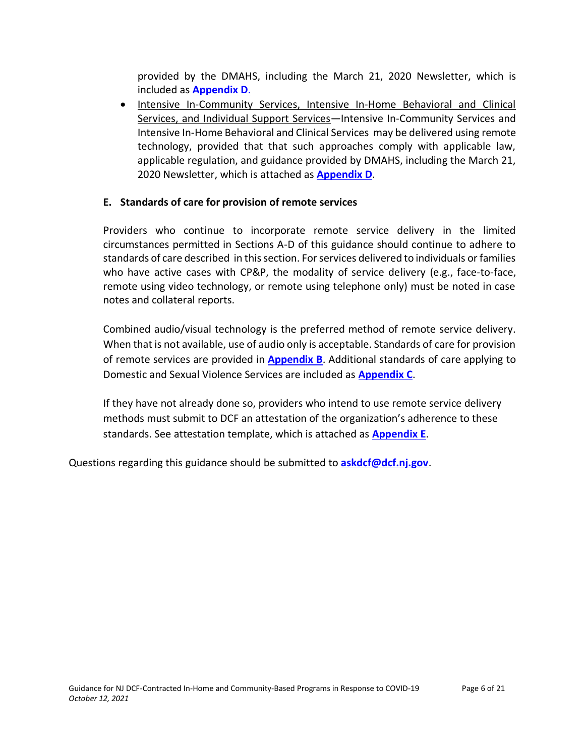provided by the DMAHS, including the March 21, 2020 Newsletter, which is included as **[Appendix D](#page-17-0)**.

• Intensive In-Community Services, Intensive In-Home Behavioral and Clinical Services, and Individual Support Services—Intensive In-Community Services and Intensive In-Home Behavioral and Clinical Services may be delivered using remote technology, provided that that such approaches comply with applicable law, applicable regulation, and guidance provided by DMAHS, including the March 21, 2020 Newsletter, which is attached as **[Appendix D](#page-17-0)**.

# <span id="page-5-0"></span>**E. Standards of care for provision of remote services**

Providers who continue to incorporate remote service delivery in the limited circumstances permitted in Sections A-D of this guidance should continue to adhere to standards of care described in this section. For services delivered to individuals or families who have active cases with CP&P, the modality of service delivery (e.g., face-to-face, remote using video technology, or remote using telephone only) must be noted in case notes and collateral reports.

Combined audio/visual technology is the preferred method of remote service delivery. When that is not available, use of audio only is acceptable. Standards of care for provision of remote services are provided in **[Appendix B](#page-9-0)**. Additional standards of care applying to Domestic and Sexual Violence Services are included as **[Appendix C](#page-13-0)**.

If they have not already done so, providers who intend to use remote service delivery methods must submit to DCF an attestation of the organization's adherence to these standards. See attestation template, which is attached as **[Appendix E](#page-18-0)**.

Questions regarding this guidance should be submitted to **[askdcf@dcf.nj.gov](mailto:askdcf@dcf.nj.gov)**.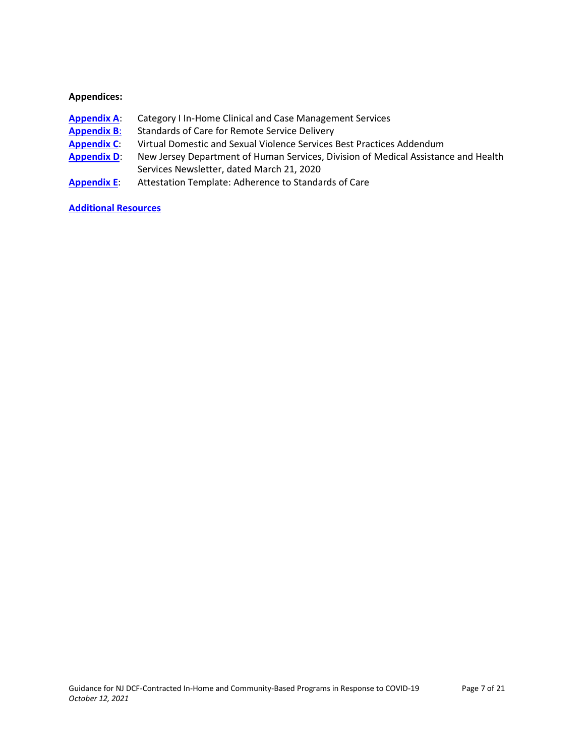#### **Appendices:**

- [Appendix A](#page-7-0): Category I In-Home Clinical and Case Management Services
- **[Appendix B](#page-9-0)**: Standards of Care for Remote Service Delivery
- **[Appendix C](#page-13-0)**: Virtual Domestic and Sexual Violence Services Best Practices Addendum
- **[Appendix D](#page-17-0):** New Jersey Department of Human Services, Division of Medical Assistance and Health Services Newsletter, dated March 21, 2020
- **[Appendix E](#page-18-0)**: Attestation Template: Adherence to Standards of Care

#### **[Additional Resources](#page-19-0)**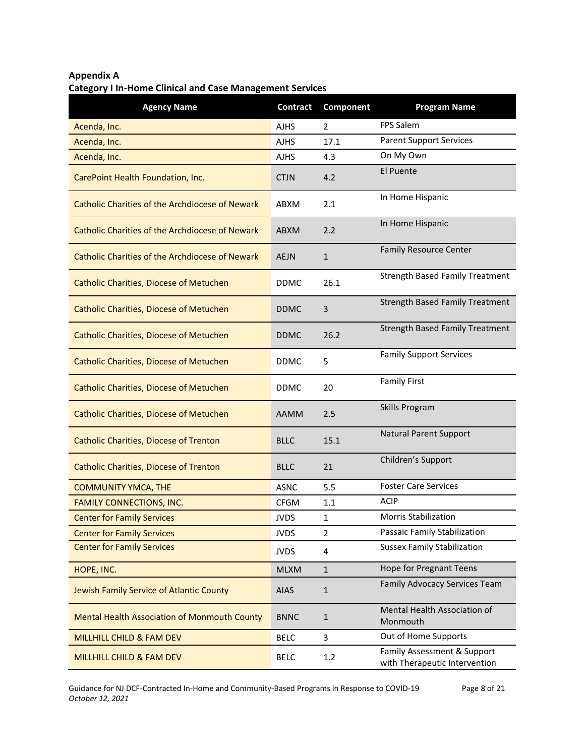# <span id="page-7-0"></span>**Appendix A Category I In-Home Clinical and Case Management Services**

| <b>Agency Name</b>                                     | Contract    | Component      | <b>Program Name</b>                                          |
|--------------------------------------------------------|-------------|----------------|--------------------------------------------------------------|
| Acenda, Inc.                                           | <b>AJHS</b> | 2              | <b>FPS Salem</b>                                             |
| Acenda, Inc.                                           | <b>AJHS</b> | 17.1           | <b>Parent Support Services</b>                               |
| Acenda, Inc.                                           | <b>AJHS</b> | 4.3            | On My Own                                                    |
| CarePoint Health Foundation, Inc.                      | <b>CTJN</b> | 4.2            | El Puente                                                    |
| Catholic Charities of the Archdiocese of Newark        | ABXM        | 2.1            | In Home Hispanic                                             |
| Catholic Charities of the Archdiocese of Newark        | <b>ABXM</b> | 2.2            | In Home Hispanic                                             |
| <b>Catholic Charities of the Archdiocese of Newark</b> | <b>AEJN</b> | $\mathbf{1}$   | <b>Family Resource Center</b>                                |
| <b>Catholic Charities, Diocese of Metuchen</b>         | <b>DDMC</b> | 26.1           | <b>Strength Based Family Treatment</b>                       |
| <b>Catholic Charities, Diocese of Metuchen</b>         | <b>DDMC</b> | 3              | <b>Strength Based Family Treatment</b>                       |
| <b>Catholic Charities, Diocese of Metuchen</b>         | <b>DDMC</b> | 26.2           | <b>Strength Based Family Treatment</b>                       |
| <b>Catholic Charities, Diocese of Metuchen</b>         | <b>DDMC</b> | 5              | <b>Family Support Services</b>                               |
| <b>Catholic Charities, Diocese of Metuchen</b>         | <b>DDMC</b> | 20             | <b>Family First</b>                                          |
| <b>Catholic Charities, Diocese of Metuchen</b>         | AAMM        | 2.5            | Skills Program                                               |
| <b>Catholic Charities, Diocese of Trenton</b>          | <b>BLLC</b> | 15.1           | <b>Natural Parent Support</b>                                |
| <b>Catholic Charities, Diocese of Trenton</b>          | <b>BLLC</b> | 21             | Children's Support                                           |
| <b>COMMUNITY YMCA, THE</b>                             | <b>ASNC</b> | 5.5            | <b>Foster Care Services</b>                                  |
| <b>FAMILY CONNECTIONS, INC.</b>                        | <b>CFGM</b> | 1.1            | <b>ACIP</b>                                                  |
| <b>Center for Family Services</b>                      | <b>JVDS</b> | $\mathbf{1}$   | <b>Morris Stabilization</b>                                  |
| <b>Center for Family Services</b>                      | <b>JVDS</b> | $\overline{2}$ | Passaic Family Stabilization                                 |
| <b>Center for Family Services</b>                      | <b>JVDS</b> | 4              | <b>Sussex Family Stabilization</b>                           |
| HOPE, INC.                                             | <b>MLXM</b> | $\mathbf{1}$   | <b>Hope for Pregnant Teens</b>                               |
| Jewish Family Service of Atlantic County               | <b>AIAS</b> | $\mathbf{1}$   | Family Advocacy Services Team                                |
| <b>Mental Health Association of Monmouth County</b>    | <b>BNNC</b> | $\mathbf{1}$   | Mental Health Association of<br>Monmouth                     |
| MILLHILL CHILD & FAM DEV                               | <b>BELC</b> | 3              | Out of Home Supports                                         |
| MILLHILL CHILD & FAM DEV                               | <b>BELC</b> | 1.2            | Family Assessment & Support<br>with Therapeutic Intervention |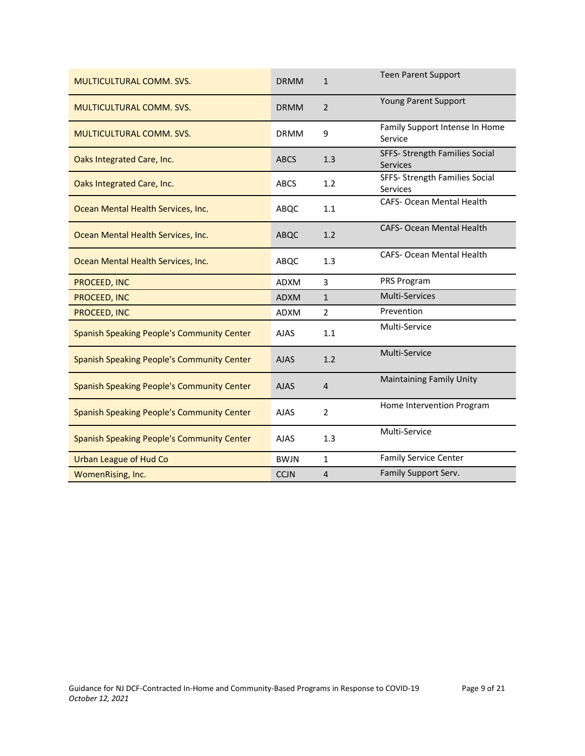| <b>MULTICULTURAL COMM. SVS.</b>                   | <b>DRMM</b> | $\mathbf{1}$   | <b>Teen Parent Support</b>                        |
|---------------------------------------------------|-------------|----------------|---------------------------------------------------|
| <b>MULTICULTURAL COMM. SVS.</b>                   | <b>DRMM</b> | $\overline{2}$ | Young Parent Support                              |
| <b>MULTICULTURAL COMM. SVS.</b>                   | <b>DRMM</b> | 9              | Family Support Intense In Home<br>Service         |
| Oaks Integrated Care, Inc.                        | <b>ABCS</b> | 1.3            | SFFS- Strength Families Social<br><b>Services</b> |
| Oaks Integrated Care, Inc.                        | <b>ABCS</b> | 1.2            | SFFS- Strength Families Social<br>Services        |
| Ocean Mental Health Services, Inc.                | ABQC        | 1.1            | CAFS- Ocean Mental Health                         |
| Ocean Mental Health Services, Inc.                | ABQC        | 1.2            | <b>CAFS- Ocean Mental Health</b>                  |
| Ocean Mental Health Services, Inc.                | ABQC        | 1.3            | <b>CAFS- Ocean Mental Health</b>                  |
| PROCEED, INC                                      | <b>ADXM</b> | 3              | PRS Program                                       |
| PROCEED, INC                                      | <b>ADXM</b> | $\mathbf{1}$   | Multi-Services                                    |
| PROCEED, INC                                      | <b>ADXM</b> | 2              | Prevention                                        |
| <b>Spanish Speaking People's Community Center</b> | <b>AJAS</b> | 1.1            | Multi-Service                                     |
| Spanish Speaking People's Community Center        | <b>AJAS</b> | 1.2            | Multi-Service                                     |
| <b>Spanish Speaking People's Community Center</b> | <b>AJAS</b> | 4              | <b>Maintaining Family Unity</b>                   |
| <b>Spanish Speaking People's Community Center</b> | <b>AJAS</b> | $\overline{2}$ | Home Intervention Program                         |
| <b>Spanish Speaking People's Community Center</b> | <b>AJAS</b> | 1.3            | Multi-Service                                     |
| <b>Urban League of Hud Co</b>                     | <b>BWJN</b> | $\mathbf{1}$   | <b>Family Service Center</b>                      |
| WomenRising, Inc.                                 | <b>CCJN</b> | $\overline{4}$ | Family Support Serv.                              |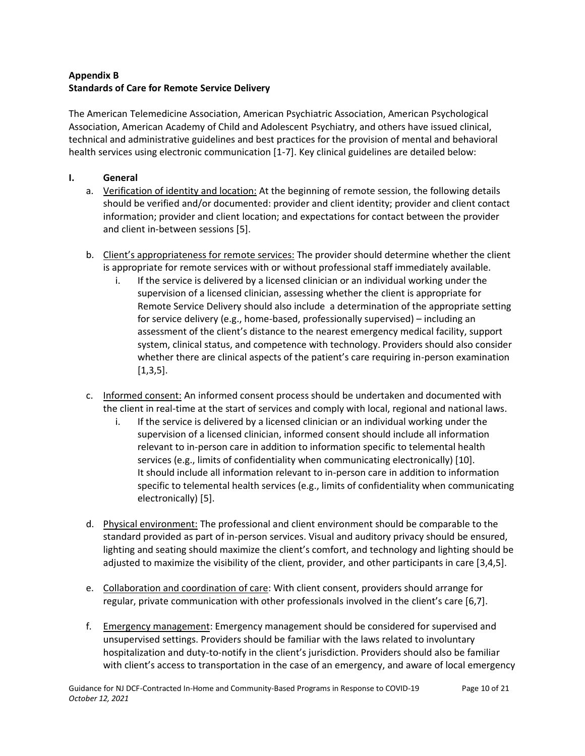## <span id="page-9-0"></span>**Appendix B Standards of Care for Remote Service Delivery**

The American Telemedicine Association, American Psychiatric Association, American Psychological Association, American Academy of Child and Adolescent Psychiatry, and others have issued clinical, technical and administrative guidelines and best practices for the provision of mental and behavioral health services using electronic communication [1-7]. Key clinical guidelines are detailed below:

### **I. General**

- a. Verification of identity and location: At the beginning of remote session, the following details should be verified and/or documented: provider and client identity; provider and client contact information; provider and client location; and expectations for contact between the provider and client in-between sessions [5].
- b. Client's appropriateness for remote services: The provider should determine whether the client is appropriate for remote services with or without professional staff immediately available.
	- i. If the service is delivered by a licensed clinician or an individual working under the supervision of a licensed clinician, assessing whether the client is appropriate for Remote Service Delivery should also include a determination of the appropriate setting for service delivery (e.g., home-based, professionally supervised) – including an assessment of the client's distance to the nearest emergency medical facility, support system, clinical status, and competence with technology. Providers should also consider whether there are clinical aspects of the patient's care requiring in-person examination  $[1,3,5]$ .
- c. Informed consent: An informed consent process should be undertaken and documented with the client in real-time at the start of services and comply with local, regional and national laws.
	- i. If the service is delivered by a licensed clinician or an individual working under the supervision of a licensed clinician, informed consent should include all information relevant to in-person care in addition to information specific to telemental health services (e.g., limits of confidentiality when communicating electronically) [10]. It should include all information relevant to in-person care in addition to information specific to telemental health services (e.g., limits of confidentiality when communicating electronically) [5].
- d. Physical environment: The professional and client environment should be comparable to the standard provided as part of in-person services. Visual and auditory privacy should be ensured, lighting and seating should maximize the client's comfort, and technology and lighting should be adjusted to maximize the visibility of the client, provider, and other participants in care [3,4,5].
- e. Collaboration and coordination of care: With client consent, providers should arrange for regular, private communication with other professionals involved in the client's care [6,7].
- f. Emergency management: Emergency management should be considered for supervised and unsupervised settings. Providers should be familiar with the laws related to involuntary hospitalization and duty-to-notify in the client's jurisdiction. Providers should also be familiar with client's access to transportation in the case of an emergency, and aware of local emergency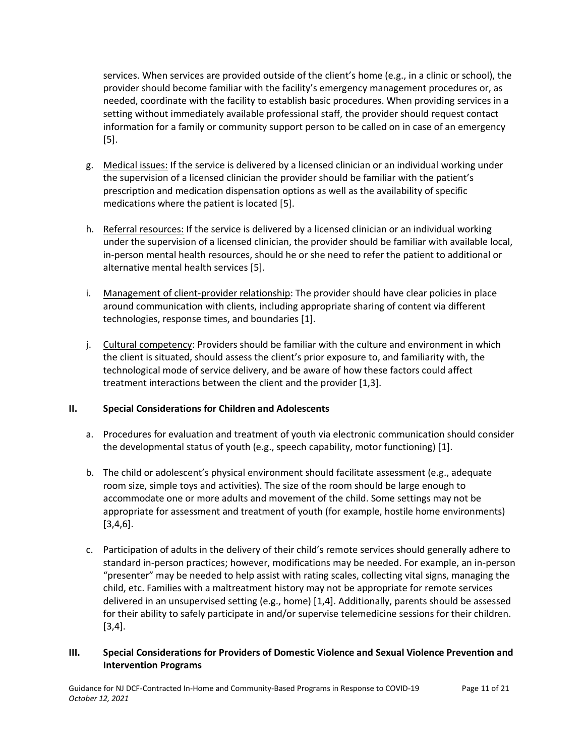services. When services are provided outside of the client's home (e.g., in a clinic or school), the provider should become familiar with the facility's emergency management procedures or, as needed, coordinate with the facility to establish basic procedures. When providing services in a setting without immediately available professional staff, the provider should request contact information for a family or community support person to be called on in case of an emergency [5].

- g. Medical issues: If the service is delivered by a licensed clinician or an individual working under the supervision of a licensed clinician the provider should be familiar with the patient's prescription and medication dispensation options as well as the availability of specific medications where the patient is located [5].
- h. Referral resources: If the service is delivered by a licensed clinician or an individual working under the supervision of a licensed clinician, the provider should be familiar with available local, in-person mental health resources, should he or she need to refer the patient to additional or alternative mental health services [5].
- i. Management of client-provider relationship: The provider should have clear policies in place around communication with clients, including appropriate sharing of content via different technologies, response times, and boundaries [1].
- j. Cultural competency: Providers should be familiar with the culture and environment in which the client is situated, should assess the client's prior exposure to, and familiarity with, the technological mode of service delivery, and be aware of how these factors could affect treatment interactions between the client and the provider [1,3].

### **II. Special Considerations for Children and Adolescents**

- a. Procedures for evaluation and treatment of youth via electronic communication should consider the developmental status of youth (e.g., speech capability, motor functioning) [1].
- b. The child or adolescent's physical environment should facilitate assessment (e.g., adequate room size, simple toys and activities). The size of the room should be large enough to accommodate one or more adults and movement of the child. Some settings may not be appropriate for assessment and treatment of youth (for example, hostile home environments) [3,4,6].
- c. Participation of adults in the delivery of their child's remote services should generally adhere to standard in-person practices; however, modifications may be needed. For example, an in-person "presenter" may be needed to help assist with rating scales, collecting vital signs, managing the child, etc. Families with a maltreatment history may not be appropriate for remote services delivered in an unsupervised setting (e.g., home) [1,4]. Additionally, parents should be assessed for their ability to safely participate in and/or supervise telemedicine sessions for their children. [3,4].

#### **III. Special Considerations for Providers of Domestic Violence and Sexual Violence Prevention and Intervention Programs**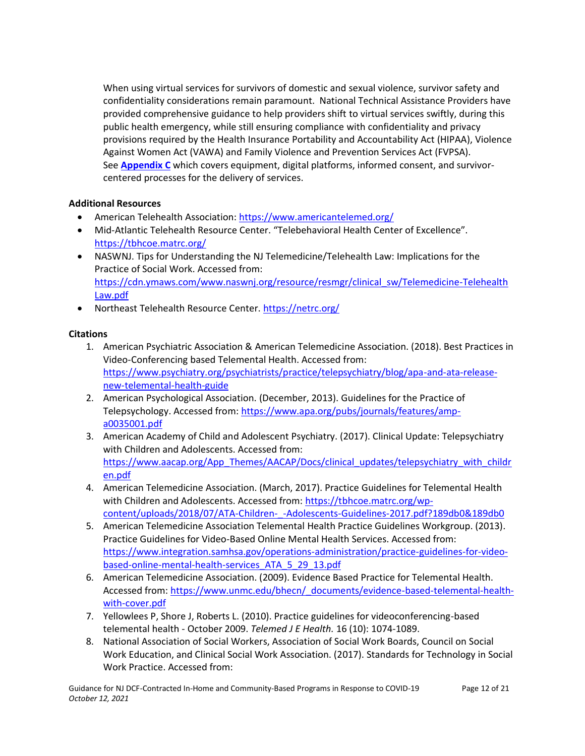When using virtual services for survivors of domestic and sexual violence, survivor safety and confidentiality considerations remain paramount. National Technical Assistance Providers have provided comprehensive guidance to help providers shift to virtual services swiftly, during this public health emergency, while still ensuring compliance with confidentiality and privacy provisions required by the Health Insurance Portability and Accountability Act (HIPAA), Violence Against Women Act (VAWA) and Family Violence and Prevention Services Act (FVPSA). See **[Appendix C](#page-13-0)** which covers equipment, digital platforms, informed consent, and survivorcentered processes for the delivery of services.

#### **Additional Resources**

- American Telehealth Association:<https://www.americantelemed.org/>
- Mid-Atlantic Telehealth Resource Center. "Telebehavioral Health Center of Excellence". <https://tbhcoe.matrc.org/>
- NASWNJ. Tips for Understanding the NJ Telemedicine/Telehealth Law: Implications for the Practice of Social Work. Accessed from: [https://cdn.ymaws.com/www.naswnj.org/resource/resmgr/clinical\\_sw/Telemedicine-Telehealth](https://cdn.ymaws.com/www.naswnj.org/resource/resmgr/clinical_sw/Telemedicine-Telehealth%20Law.pdf)  [Law.pdf](https://cdn.ymaws.com/www.naswnj.org/resource/resmgr/clinical_sw/Telemedicine-Telehealth%20Law.pdf)
- Northeast Telehealth Resource Center.<https://netrc.org/>

#### **Citations**

- 1. American Psychiatric Association & American Telemedicine Association. (2018). Best Practices in Video-Conferencing based Telemental Health. Accessed from: [https://www.psychiatry.org/psychiatrists/practice/telepsychiatry/blog/apa-and-ata-release](https://www.psychiatry.org/psychiatrists/practice/telepsychiatry/blog/apa-and-ata-release-new-telemental-health-guide)[new-telemental-health-guide](https://www.psychiatry.org/psychiatrists/practice/telepsychiatry/blog/apa-and-ata-release-new-telemental-health-guide)
- 2. American Psychological Association. (December, 2013). Guidelines for the Practice of Telepsychology. Accessed from: [https://www.apa.org/pubs/journals/features/amp](https://www.apa.org/pubs/journals/features/amp-a0035001.pdf)[a0035001.pdf](https://www.apa.org/pubs/journals/features/amp-a0035001.pdf)
- 3. American Academy of Child and Adolescent Psychiatry. (2017). Clinical Update: Telepsychiatry with Children and Adolescents. Accessed from: [https://www.aacap.org/App\\_Themes/AACAP/Docs/clinical\\_updates/telepsychiatry\\_with\\_childr](https://www.aacap.org/App_Themes/AACAP/Docs/clinical_updates/telepsychiatry_with_children.pdf) [en.pdf](https://www.aacap.org/App_Themes/AACAP/Docs/clinical_updates/telepsychiatry_with_children.pdf)
- 4. American Telemedicine Association. (March, 2017). Practice Guidelines for Telemental Health with Children and Adolescents. Accessed from: [https://tbhcoe.matrc.org/wp](https://tbhcoe.matrc.org/wp-content/uploads/2018/07/ATA-Children-_-Adolescents-Guidelines-2017.pdf?189db0&189db0)[content/uploads/2018/07/ATA-Children-\\_-Adolescents-Guidelines-2017.pdf?189db0&189db0](https://tbhcoe.matrc.org/wp-content/uploads/2018/07/ATA-Children-_-Adolescents-Guidelines-2017.pdf?189db0&189db0)
- 5. American Telemedicine Association Telemental Health Practice Guidelines Workgroup. (2013). Practice Guidelines for Video-Based Online Mental Health Services. Accessed from: [https://www.integration.samhsa.gov/operations-administration/practice-guidelines-for-video](https://www.integration.samhsa.gov/operations-administration/practice-guidelines-for-video-based-online-mental-health-services_ATA_5_29_13.pdf)[based-online-mental-health-services\\_ATA\\_5\\_29\\_13.pdf](https://www.integration.samhsa.gov/operations-administration/practice-guidelines-for-video-based-online-mental-health-services_ATA_5_29_13.pdf)
- 6. American Telemedicine Association. (2009). Evidence Based Practice for Telemental Health. Accessed from: [https://www.unmc.edu/bhecn/\\_documents/evidence-based-telemental-health](https://www.unmc.edu/bhecn/_documents/evidence-based-telemental-health-with-cover.pdf)[with-cover.pdf](https://www.unmc.edu/bhecn/_documents/evidence-based-telemental-health-with-cover.pdf)
- 7. Yellowlees P, Shore J, Roberts L. (2010). Practice guidelines for videoconferencing-based telemental health - October 2009. *Telemed J E Health.* 16 (10): 1074-1089.
- 8. National Association of Social Workers, Association of Social Work Boards, Council on Social Work Education, and Clinical Social Work Association. (2017). Standards for Technology in Social Work Practice. Accessed from: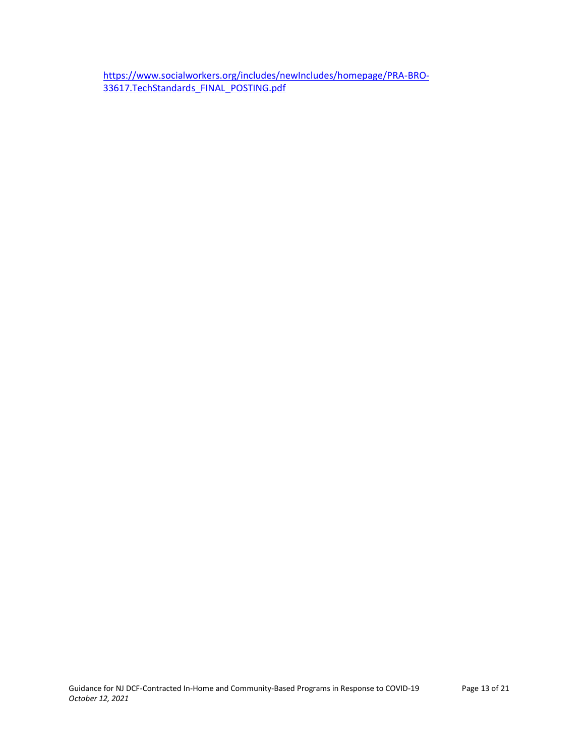[https://www.socialworkers.org/includes/newIncludes/homepage/PRA-BRO-](https://www.socialworkers.org/includes/newIncludes/homepage/PRA-BRO-33617.TechStandards_FINAL_POSTING.pdf)[33617.TechStandards\\_FINAL\\_POSTING.pdf](https://www.socialworkers.org/includes/newIncludes/homepage/PRA-BRO-33617.TechStandards_FINAL_POSTING.pdf)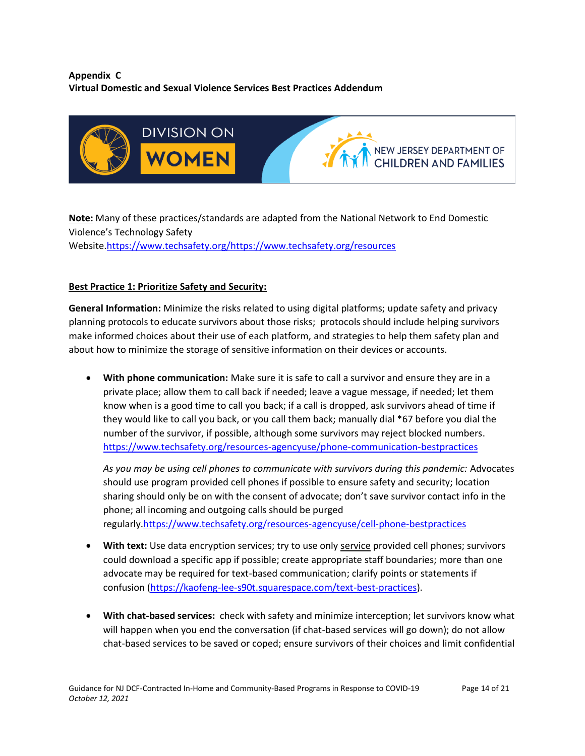### <span id="page-13-0"></span>**Appendix C Virtual Domestic and Sexual Violence Services Best Practices Addendum**



**Note:** Many of these practices/standards are adapted from the National Network to End Domestic Violence's Technology Safety

Website[.https://www.techsafety.org/](https://www.techsafety.org/)<https://www.techsafety.org/resources>

## **Best Practice 1: Prioritize Safety and Security:**

**General Information:** Minimize the risks related to using digital platforms; update safety and privacy planning protocols to educate survivors about those risks; protocols should include helping survivors make informed choices about their use of each platform, and strategies to help them safety plan and about how to minimize the storage of sensitive information on their devices or accounts.

• **With phone communication:** Make sure it is safe to call a survivor and ensure they are in a private place; allow them to call back if needed; leave a vague message, if needed; let them know when is a good time to call you back; if a call is dropped, ask survivors ahead of time if they would like to call you back, or you call them back; manually dial \*67 before you dial the number of the survivor, if possible, although some survivors may reject blocked numbers. <https://www.techsafety.org/resources-agencyuse/phone-communication-bestpractices>

*As you may be using cell phones to communicate with survivors during this pandemic:* Advocates should use program provided cell phones if possible to ensure safety and security; location sharing should only be on with the consent of advocate; don't save survivor contact info in the phone; all incoming and outgoing calls should be purged regularly[.https://www.techsafety.org/resources-agencyuse/cell-phone-bestpractices](https://www.techsafety.org/resources-agencyuse/cell-phone-bestpractices)

- **With text:** Use data encryption services; try to use only service provided cell phones; survivors could download a specific app if possible; create appropriate staff boundaries; more than one advocate may be required for text-based communication; clarify points or statements if confusion [\(https://kaofeng-lee-s90t.squarespace.com/text-best-practices\)](https://kaofeng-lee-s90t.squarespace.com/text-best-practices).
- **With chat-based services:** check with safety and minimize interception; let survivors know what will happen when you end the conversation (if chat-based services will go down); do not allow chat-based services to be saved or coped; ensure survivors of their choices and limit confidential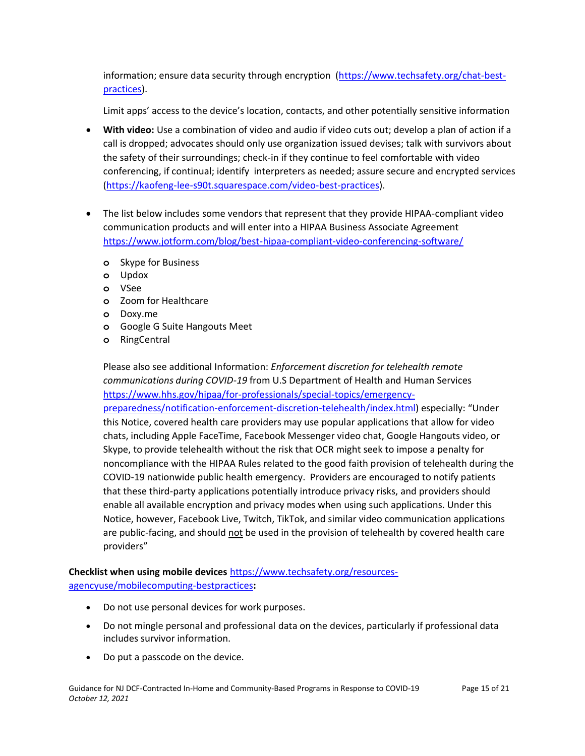information; ensure data security through encryption [\(https://www.techsafety.org/chat-best](https://www.techsafety.org/chat-best-practices)[practices\)](https://www.techsafety.org/chat-best-practices).

Limit apps' access to the device's location, contacts, and other potentially sensitive information

- **With video:** Use a combination of video and audio if video cuts out; develop a plan of action if a call is dropped; advocates should only use organization issued devises; talk with survivors about the safety of their surroundings; check-in if they continue to feel comfortable with video conferencing, if continual; identify interpreters as needed; assure secure and encrypted services [\(https://kaofeng-lee-s90t.squarespace.com/video-best-practices\)](https://kaofeng-lee-s90t.squarespace.com/video-best-practices).
- The list below includes some vendors that represent that they provide HIPAA-compliant video communication products and will enter into a HIPAA Business Associate Agreement <https://www.jotform.com/blog/best-hipaa-compliant-video-conferencing-software/>
	- **o** Skype for Business
	- **o** Updox
	- **o** VSee
	- **o** Zoom for Healthcare
	- **o** Doxy.me
	- **o** Google G Suite Hangouts Meet
	- **o** RingCentral

Please also see additional Information: *Enforcement discretion for telehealth remote communications during COVID-19* from U.S Department of Health and Human Services [https://www.hhs.gov/hipaa/for-professionals/special-topics/emergency-](https://www.hhs.gov/hipaa/for-professionals/special-topics/emergency-preparedness/notification-enforcement-discretion-telehealth/index.html)

[preparedness/notification-enforcement-discretion-telehealth/index.html\)](https://www.hhs.gov/hipaa/for-professionals/special-topics/emergency-preparedness/notification-enforcement-discretion-telehealth/index.html) especially: "Under this Notice, covered health care providers may use popular applications that allow for video chats, including Apple FaceTime, Facebook Messenger video chat, Google Hangouts video, or Skype, to provide telehealth without the risk that OCR might seek to impose a penalty for noncompliance with the HIPAA Rules related to the good faith provision of telehealth during the COVID-19 nationwide public health emergency. Providers are encouraged to notify patients that these third-party applications potentially introduce privacy risks, and providers should enable all available encryption and privacy modes when using such applications. Under this Notice, however, Facebook Live, Twitch, TikTok, and similar video communication applications are public-facing, and should not be used in the provision of telehealth by covered health care providers"

**Checklist when using mobile devices** [https://www.techsafety.org/resources](https://www.techsafety.org/resources-agencyuse/mobilecomputing-bestpractices)[agencyuse/mobilecomputing-bestpractices](https://www.techsafety.org/resources-agencyuse/mobilecomputing-bestpractices)**:**

- Do not use personal devices for work purposes.
- Do not mingle personal and professional data on the devices, particularly if professional data includes survivor information.
- Do put a passcode on the device.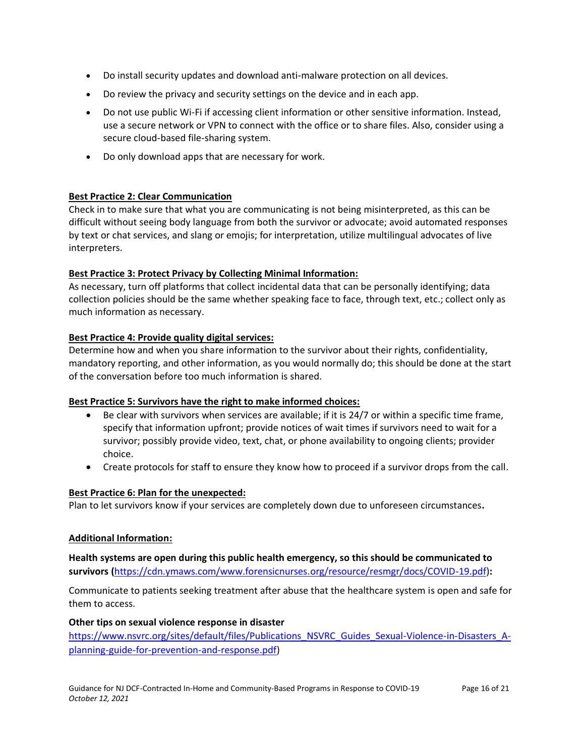- Do install security updates and download anti‐malware protection on all devices.
- Do review the privacy and security settings on the device and in each app.
- Do not use public Wi‐Fi if accessing client information or other sensitive information. Instead, use a secure network or VPN to connect with the office or to share files. Also, consider using a secure cloud-based file-sharing system.
- Do only download apps that are necessary for work.

#### **Best Practice 2: Clear Communication**

Check in to make sure that what you are communicating is not being misinterpreted, as this can be difficult without seeing body language from both the survivor or advocate; avoid automated responses by text or chat services, and slang or emojis; for interpretation, utilize multilingual advocates of live interpreters.

#### **Best Practice 3: Protect Privacy by Collecting Minimal Information:**

As necessary, turn off platforms that collect incidental data that can be personally identifying; data collection policies should be the same whether speaking face to face, through text, etc.; collect only as much information as necessary.

#### **Best Practice 4: Provide quality digital services:**

Determine how and when you share information to the survivor about their rights, confidentiality, mandatory reporting, and other information, as you would normally do; this should be done at the start of the conversation before too much information is shared.

#### **Best Practice 5: Survivors have the right to make informed choices:**

- Be clear with survivors when services are available; if it is 24/7 or within a specific time frame, specify that information upfront; provide notices of wait times if survivors need to wait for a survivor; possibly provide video, text, chat, or phone availability to ongoing clients; provider choice.
- Create protocols for staff to ensure they know how to proceed if a survivor drops from the call.

#### **Best Practice 6: Plan for the unexpected:**

Plan to let survivors know if your services are completely down due to unforeseen circumstances**.**

#### **Additional Information:**

**Health systems are open during this public health emergency, so this should be communicated to survivors (**[https://cdn.ymaws.com/www.forensicnurses.org/resource/resmgr/docs/COVID-19.pdf\)](https://cdn.ymaws.com/www.forensicnurses.org/resource/resmgr/docs/COVID-19.pdf)**:**

Communicate to patients seeking treatment after abuse that the healthcare system is open and safe for them to access.

#### **Other tips on sexual violence response in disaster**

[https://www.nsvrc.org/sites/default/files/Publications\\_NSVRC\\_Guides\\_Sexual-Violence-in-Disasters\\_A](https://www.nsvrc.org/sites/default/files/Publications_NSVRC_Guides_Sexual-Violence-in-Disasters_A-planning-guide-for-prevention-and-response.pdf)[planning-guide-for-prevention-and-response.pdf\)](https://www.nsvrc.org/sites/default/files/Publications_NSVRC_Guides_Sexual-Violence-in-Disasters_A-planning-guide-for-prevention-and-response.pdf)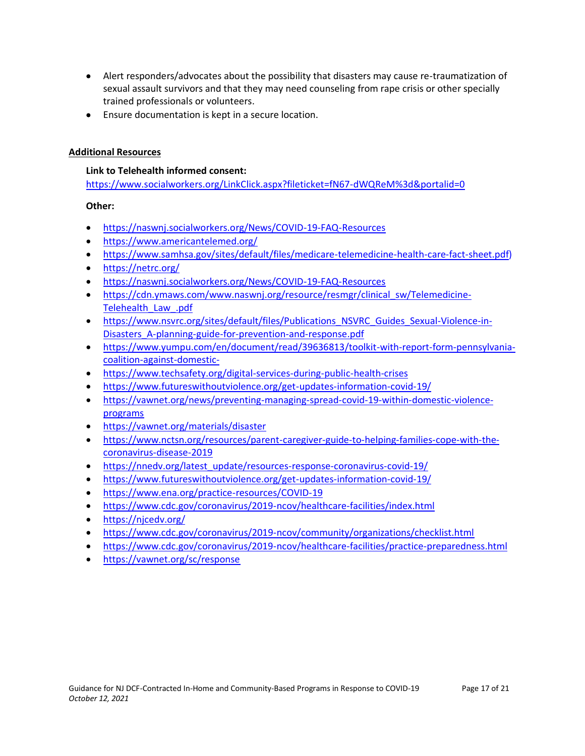- Alert responders/advocates about the possibility that disasters may cause re-traumatization of sexual assault survivors and that they may need counseling from rape crisis or other specially trained professionals or volunteers.
- Ensure documentation is kept in a secure location.

### **Additional Resources**

### **Link to Telehealth informed consent:**

<https://www.socialworkers.org/LinkClick.aspx?fileticket=fN67-dWQReM%3d&portalid=0>

### **Other:**

- <https://naswnj.socialworkers.org/News/COVID-19-FAQ-Resources>
- <https://www.americantelemed.org/>
- [https://www.samhsa.gov/sites/default/files/medicare-telemedicine-health-care-fact-sheet.pdf\)](https://www.samhsa.gov/sites/default/files/medicare-telemedicine-health-care-fact-sheet.pdf)
- <https://netrc.org/>
- <https://naswnj.socialworkers.org/News/COVID-19-FAQ-Resources>
- [https://cdn.ymaws.com/www.naswnj.org/resource/resmgr/clinical\\_sw/Telemedicine-](https://cdn.ymaws.com/www.naswnj.org/resource/resmgr/clinical_sw/Telemedicine-Telehealth_Law_.pdf)Telehealth Law .pdf
- [https://www.nsvrc.org/sites/default/files/Publications\\_NSVRC\\_Guides\\_Sexual-Violence-in-](https://www.nsvrc.org/sites/default/files/Publications_NSVRC_Guides_Sexual-Violence-in-Disasters_A-planning-guide-for-prevention-and-response.pdf)[Disasters\\_A-planning-guide-for-prevention-and-response.pdf](https://www.nsvrc.org/sites/default/files/Publications_NSVRC_Guides_Sexual-Violence-in-Disasters_A-planning-guide-for-prevention-and-response.pdf)
- [https://www.yumpu.com/en/document/read/39636813/toolkit-with-report-form-pennsylvania](https://www.yumpu.com/en/document/read/39636813/toolkit-with-report-form-pennsylvania-coalition-against-domestic-)[coalition-against-domestic-](https://www.yumpu.com/en/document/read/39636813/toolkit-with-report-form-pennsylvania-coalition-against-domestic-)
- <https://www.techsafety.org/digital-services-during-public-health-crises>
- <https://www.futureswithoutviolence.org/get-updates-information-covid-19/>
- [https://vawnet.org/news/preventing-managing-spread-covid-19-within-domestic-violence](https://vawnet.org/news/preventing-managing-spread-covid-19-within-domestic-violence-programs)[programs](https://vawnet.org/news/preventing-managing-spread-covid-19-within-domestic-violence-programs)
- <https://vawnet.org/materials/disaster>
- [https://www.nctsn.org/resources/parent-caregiver-guide-to-helping-families-cope-with-the](https://www.nctsn.org/resources/parent-caregiver-guide-to-helping-families-cope-with-the-coronavirus-disease-2019)[coronavirus-disease-2019](https://www.nctsn.org/resources/parent-caregiver-guide-to-helping-families-cope-with-the-coronavirus-disease-2019)
- [https://nnedv.org/latest\\_update/resources-response-coronavirus-covid-19/](https://nnedv.org/latest_update/resources-response-coronavirus-covid-19/)
- <https://www.futureswithoutviolence.org/get-updates-information-covid-19/>
- <https://www.ena.org/practice-resources/COVID-19>
- <https://www.cdc.gov/coronavirus/2019-ncov/healthcare-facilities/index.html>
- <https://njcedv.org/>
- <https://www.cdc.gov/coronavirus/2019-ncov/community/organizations/checklist.html>
- <https://www.cdc.gov/coronavirus/2019-ncov/healthcare-facilities/practice-preparedness.html>
- <https://vawnet.org/sc/response>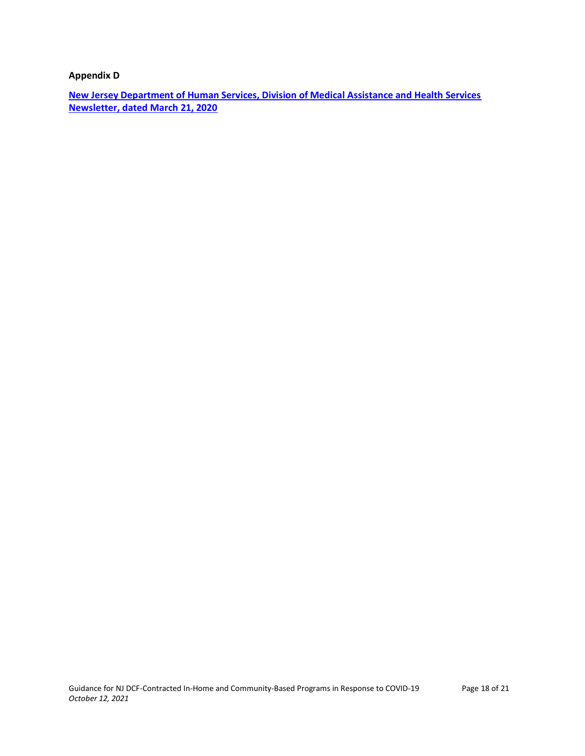<span id="page-17-0"></span>**Appendix D**

**[New Jersey Department of Human Services, Division of Medical Assistance and Health Services](https://nj.gov/humanservices/library/slides/Temporary%20Telehealth%20Medicaid%20Newsletter%20FINAL.pdf)  [Newsletter, dated March 21, 2020](https://nj.gov/humanservices/library/slides/Temporary%20Telehealth%20Medicaid%20Newsletter%20FINAL.pdf)**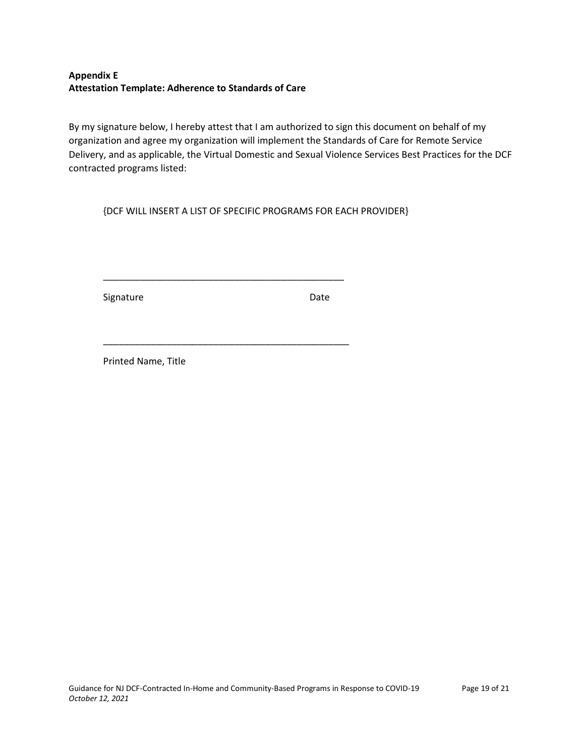### <span id="page-18-0"></span>**Appendix E Attestation Template: Adherence to Standards of Care**

By my signature below, I hereby attest that I am authorized to sign this document on behalf of my organization and agree my organization will implement the Standards of Care for Remote Service Delivery, and as applicable, the Virtual Domestic and Sexual Violence Services Best Practices for the DCF contracted programs listed:

{DCF WILL INSERT A LIST OF SPECIFIC PROGRAMS FOR EACH PROVIDER}

\_\_\_\_\_\_\_\_\_\_\_\_\_\_\_\_\_\_\_\_\_\_\_\_\_\_\_\_\_\_\_\_\_\_\_\_\_\_\_\_\_\_\_\_\_\_

\_\_\_\_\_\_\_\_\_\_\_\_\_\_\_\_\_\_\_\_\_\_\_\_\_\_\_\_\_\_\_\_\_\_\_\_\_\_\_\_\_\_\_\_\_\_\_

Signature Date

Printed Name, Title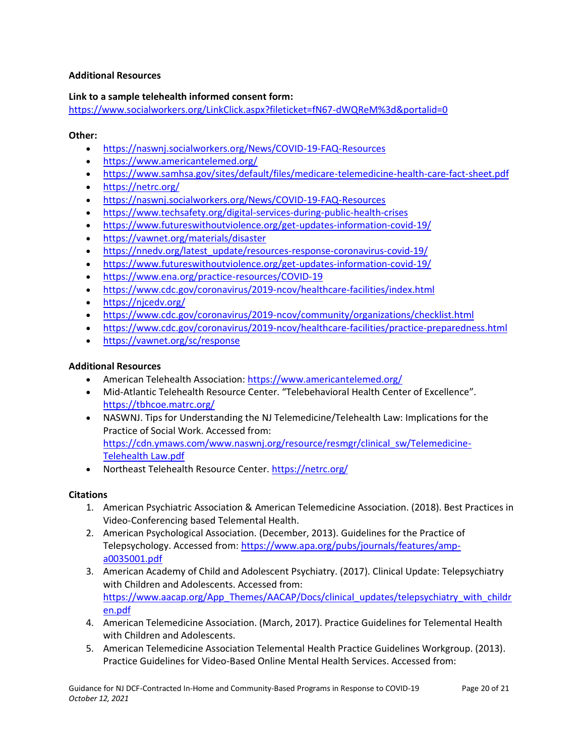#### <span id="page-19-0"></span>**Additional Resources**

#### **Link to a sample telehealth informed consent form:**

https://www.socialworkers.org/LinkClick.aspx?fileticket=fN67-dWQReM%3d&portalid=0

#### **Other:**

- https://naswnj.socialworkers.org/News/COVID-19-FAQ-Resources
- https://www.americantelemed.org/
- https://www.samhsa.gov/sites/default/files/medicare-telemedicine-health-care-fact-sheet.pdf
- https://netrc.org/
- https://naswnj.socialworkers.org/News/COVID-19-FAQ-Resources
- https://www.techsafety.org/digital-services-during-public-health-crises
- https://www.futureswithoutviolence.org/get-updates-information-covid-19/
- https://vawnet.org/materials/disaster
- https://nnedv.org/latest\_update/resources-response-coronavirus-covid-19/
- https://www.futureswithoutviolence.org/get-updates-information-covid-19/
- https://www.ena.org/practice-resources/COVID-19
- https://www.cdc.gov/coronavirus/2019-ncov/healthcare-facilities/index.html
- https://njcedv.org/
- https://www.cdc.gov/coronavirus/2019-ncov/community/organizations/checklist.html
- https://www.cdc.gov/coronavirus/2019-ncov/healthcare-facilities/practice-preparedness.html
- https://vawnet.org/sc/response

#### **Additional Resources**

- American Telehealth Association: https://www.americantelemed.org/
- Mid-Atlantic Telehealth Resource Center. "Telebehavioral Health Center of Excellence". https://tbhcoe.matrc.org/
- NASWNJ. Tips for Understanding the NJ Telemedicine/Telehealth Law: Implications for the Practice of Social Work. Accessed from: https://cdn.ymaws.com/www.naswnj.org/resource/resmgr/clinical\_sw/Telemedicine-Telehealth Law.pdf
- Northeast Telehealth Resource Center. https://netrc.org/

#### **Citations**

- 1. American Psychiatric Association & American Telemedicine Association. (2018). Best Practices in Video-Conferencing based Telemental Health.
- 2. American Psychological Association. (December, 2013). Guidelines for the Practice of Telepsychology. Accessed from: https://www.apa.org/pubs/journals/features/ampa0035001.pdf
- 3. American Academy of Child and Adolescent Psychiatry. (2017). Clinical Update: Telepsychiatry with Children and Adolescents. Accessed from: https://www.aacap.org/App\_Themes/AACAP/Docs/clinical\_updates/telepsychiatry\_with\_childr en.pdf
- 4. American Telemedicine Association. (March, 2017). Practice Guidelines for Telemental Health with Children and Adolescents.
- 5. American Telemedicine Association Telemental Health Practice Guidelines Workgroup. (2013). Practice Guidelines for Video-Based Online Mental Health Services. Accessed from: